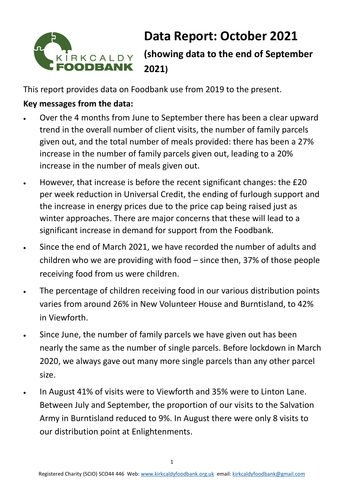

# **Data Report: October 2021 (showing data to the end of September**

This report provides data on Foodbank use from 2019 to the present.

**2021)**

## **Key messages from the data:**

- Over the 4 months from June to September there has been a clear upward trend in the overall number of client visits, the number of family parcels given out, and the total number of meals provided: there has been a 27% increase in the number of family parcels given out, leading to a 20% increase in the number of meals given out.
- However, that increase is before the recent significant changes: the £20 per week reduction in Universal Credit, the ending of furlough support and the increase in energy prices due to the price cap being raised just as winter approaches. There are major concerns that these will lead to a significant increase in demand for support from the Foodbank.
- Since the end of March 2021, we have recorded the number of adults and children who we are providing with food – since then, 37% of those people receiving food from us were children.
- The percentage of children receiving food in our various distribution points varies from around 26% in New Volunteer House and Burntisland, to 42% in Viewforth.
- Since June, the number of family parcels we have given out has been nearly the same as the number of single parcels. Before lockdown in March 2020, we always gave out many more single parcels than any other parcel size.
- In August 41% of visits were to Viewforth and 35% were to Linton Lane. Between July and September, the proportion of our visits to the Salvation Army in Burntisland reduced to 9%. In August there were only 8 visits to our distribution point at Enlightenments.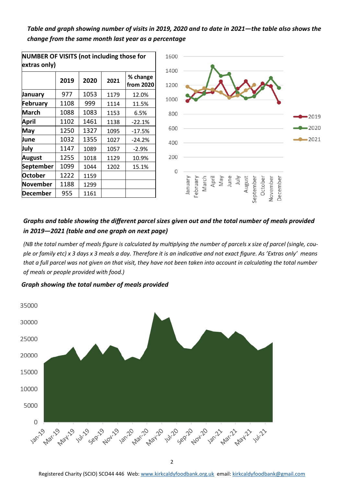#### *Table and graph showing number of visits in 2019, 2020 and to date in 2021—the table also shows the change from the same month last year as a percentage*

| וטו אסוויור שוויר אוויר איז דער האטוויר און דער האטוויר איז דער האטוויר ווירו<br>extras only) |      |      |      |                       |  |  |  |  |  |
|-----------------------------------------------------------------------------------------------|------|------|------|-----------------------|--|--|--|--|--|
|                                                                                               | 2019 | 2020 | 2021 | % change<br>from 2020 |  |  |  |  |  |
| January                                                                                       | 977  | 1053 | 1179 | 12.0%                 |  |  |  |  |  |
| February                                                                                      | 1108 | 999  | 1114 | 11.5%                 |  |  |  |  |  |
| <b>March</b>                                                                                  | 1088 | 1083 | 1153 | 6.5%                  |  |  |  |  |  |
| April                                                                                         | 1102 | 1461 | 1138 | $-22.1%$              |  |  |  |  |  |
| May                                                                                           | 1250 | 1327 | 1095 | $-17.5%$              |  |  |  |  |  |
| June                                                                                          | 1032 | 1355 | 1027 | $-24.2%$              |  |  |  |  |  |
| July                                                                                          | 1147 | 1089 | 1057 | $-2.9%$               |  |  |  |  |  |
| August                                                                                        | 1255 | 1018 | 1129 | 10.9%                 |  |  |  |  |  |
| <b>September</b>                                                                              | 1099 | 1044 | 1202 | 15.1%                 |  |  |  |  |  |
| <b>October</b>                                                                                | 1222 | 1159 |      |                       |  |  |  |  |  |
| November                                                                                      | 1188 | 1299 |      |                       |  |  |  |  |  |
| December                                                                                      | 955  | 1161 |      |                       |  |  |  |  |  |

**NUMBER OF VISITS (not including those for** 



#### *Graphs and table showing the different parcel sizes given out and the total number of meals provided in 2019—2021 (table and one graph on next page)*

*(NB the total number of meals figure is calculated by multiplying the number of parcels x size of parcel (single, couple or family etc) x 3 days x 3 meals a day. Therefore it is an indicative and not exact figure. As 'Extras only' means that a full parcel was not given on that visit, they have not been taken into account in calculating the total number of meals or people provided with food.)* 

*Graph showing the total number of meals provided* 

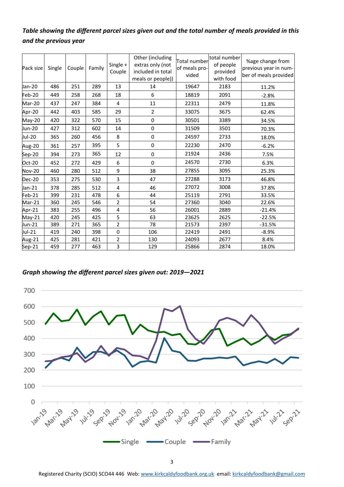### *Table showing the different parcel sizes given out and the total number of meals provided in this and the previous year*

| Pack size     | Single | Couple | Family | Single +<br>Couple | Other (including<br>extras only (not<br>included in total<br>meals or people)) | total number<br>Total number<br>of people<br>of meals pro-<br>provided<br>vided<br>with food |      | %age change from<br>previous year in num-<br>ber of meals provided |  |
|---------------|--------|--------|--------|--------------------|--------------------------------------------------------------------------------|----------------------------------------------------------------------------------------------|------|--------------------------------------------------------------------|--|
| Jan-20        | 486    | 251    | 289    | 13                 | 14                                                                             | 19647                                                                                        | 2183 | 11.2%                                                              |  |
| Feb-20        | 449    | 258    | 268    | 18                 | 6                                                                              | 18819                                                                                        | 2091 | $-2.8%$                                                            |  |
| Mar-20        | 437    | 247    | 384    | 4                  | 11                                                                             | 22311                                                                                        | 2479 | 11.8%                                                              |  |
| Apr-20        | 442    | 403    | 585    | 29                 | $\overline{2}$                                                                 | 33075                                                                                        | 3675 | 62.4%                                                              |  |
| May-20        | 420    | 322    | 570    | 15                 | $\pmb{0}$                                                                      | 30501                                                                                        | 3389 | 34.5%                                                              |  |
| Jun-20        | 427    | 312    | 602    | 14                 | 0                                                                              | 31509                                                                                        | 3501 | 70.3%                                                              |  |
| Jul-20        | 365    | 260    | 456    | 8                  | $\pmb{0}$                                                                      | 24597                                                                                        | 2733 | 18.0%                                                              |  |
| Aug-20        | 361    | 257    | 395    | 5                  | $\mathbf 0$                                                                    | 22230                                                                                        | 2470 | $-6.2%$                                                            |  |
| Sep-20        | 394    | 273    | 365    | 12                 | 0                                                                              | 21924                                                                                        | 2436 | 7.5%                                                               |  |
| Oct-20        | 452    | 272    | 429    | 6                  | 0                                                                              | 24570                                                                                        | 2730 | 6.3%                                                               |  |
| <b>Nov-20</b> | 460    | 280    | 512    | 9                  | 38                                                                             | 27855                                                                                        | 3095 | 25.3%                                                              |  |
| <b>Dec-20</b> | 353    | 275    | 530    | 3                  | 47                                                                             | 27288                                                                                        | 3173 | 46.8%                                                              |  |
| Jan-21        | 378    | 285    | 512    | 4                  | 46                                                                             | 27072                                                                                        | 3008 | 37.8%                                                              |  |
| Feb-21        | 399    | 231    | 478    | 6                  | 44                                                                             | 25119                                                                                        | 2791 | 33.5%                                                              |  |
| Mar-21        | 360    | 245    | 546    | $\overline{2}$     | 54                                                                             | 27360                                                                                        | 3040 | 22.6%                                                              |  |
| Apr-21        | 383    | 255    | 496    | 4                  | 56                                                                             | 26001                                                                                        | 2889 | $-21.4%$                                                           |  |
| $May-21$      | 420    | 245    | 425    | 5                  | 63                                                                             | 23625                                                                                        | 2625 | $-22.5%$                                                           |  |
| Jun-21        | 389    | 271    | 365    | 2                  | 78                                                                             | 21573                                                                                        | 2397 | $-31.5%$                                                           |  |
| Jul-21        | 419    | 240    | 398    | $\mathbf 0$        | 106                                                                            | 22419                                                                                        | 2491 | $-8.9%$                                                            |  |
| Aug-21        | 425    | 281    | 421    | 2                  | 130                                                                            | 24093                                                                                        | 2677 | 8.4%                                                               |  |
| Sep-21        | 459    | 277    | 463    | 3                  | 129                                                                            | 25866                                                                                        | 2874 | 18.0%                                                              |  |

#### *Graph showing the different parcel sizes given out: 2019—2021*



Registered Charity (SCIO) SCO44 446 Web: [www.kirkcaldyfoodbank.org.uk](http://www.kirkcaldyfoodbank.org.uk) email: [kirkcaldyfoodbank@gmail.com](mailto:mailtokirkcaldyfoodbank@gmail.com)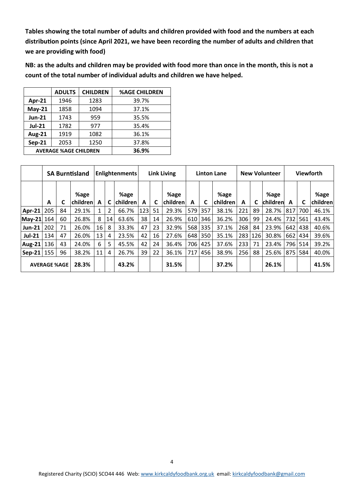**Tables showing the total number of adults and children provided with food and the numbers at each distribution points (since April 2021, we have been recording the number of adults and children that we are providing with food)**

**NB: as the adults and children may be provided with food more than once in the month, this is not a count of the total number of individual adults and children we have helped.** 

|               | <b>ADULTS</b>                | <b>CHILDREN</b> | <b>%AGE CHILDREN</b> |
|---------------|------------------------------|-----------------|----------------------|
| Apr-21        | 1946                         | 1283            | 39.7%                |
| $May-21$      | 1858                         | 1094            | 37.1%                |
| <b>Jun-21</b> | 1743                         | 959             | 35.5%                |
| <b>Jul-21</b> | 1782                         | 977             | 35.4%                |
| <b>Aug-21</b> | 1919                         | 1082            | 36.1%                |
| <b>Sep-21</b> | 2053                         | 1250            | 37.8%                |
|               | <b>AVERAGE %AGE CHILDREN</b> | 36.9%           |                      |

|                   | <b>SA Burntisland</b> |                     | <b>Enlightenments</b> |    |    | <b>Link Living</b>      |     |    |                   | <b>Linton Lane</b> |     |                    | <b>New Volunteer</b> |     |                  | <b>Viewforth</b> |     |                  |
|-------------------|-----------------------|---------------------|-----------------------|----|----|-------------------------|-----|----|-------------------|--------------------|-----|--------------------|----------------------|-----|------------------|------------------|-----|------------------|
|                   | A                     | С                   | %age<br>children      | A  | C  | %age<br><b>children</b> | A   | C  | %age<br> children | A                  | C   | %age<br>children l | A                    | C   | %age<br>children | A                | C   | %age<br>children |
| Apr-21            | 205                   | 84                  | 29.1%                 |    | 2  | 66.7%                   | 123 | 51 | 29.3%             | 579                | 357 | 38.1%              | 221                  | 89  | 28.7%            | 817              | 700 | 46.1%            |
| May-21 164        |                       | 60                  | 26.8%                 | 8  | 14 | 63.6%                   | 38  | 14 | 26.9%             | 610                | 346 | 36.2%              | 306                  | 99  | 24.4%            | 732              | 561 | 43.4%            |
| <b>Jun-21</b>     | 202                   | 71                  | 26.0%                 | 16 | 8  | 33.3%                   | 47  | 23 | 32.9%             | 568                | 335 | 37.1%              | 268                  | 84  | 23.9%            | 642 l            | 438 | 40.6%            |
| <b>Jul-21</b>     | 134                   | 47                  | 26.0%                 | 13 | 4  | 23.5%                   | 42  | 16 | 27.6%             | 648                | 350 | 35.1%              | 283                  | 126 | 30.8%            | 662              | 434 | 39.6%            |
| $Aug-21$          | 136                   | 43                  | 24.0%                 | 6  | 5  | 45.5%                   | 42  | 24 | 36.4%             | 706                | 425 | 37.6%              | 233                  | 71  | 23.4%            | 796              | 514 | 39.2%            |
| $\textsf{Sep-21}$ | 155                   | 96                  | 38.2%                 | 11 | 4  | 26.7%                   | 39  | 22 | 36.1%             | 717                | 456 | 38.9%              | 256                  | 88  | 25.6%            | 875              | 584 | 40.0%            |
|                   |                       | <b>AVERAGE %AGE</b> | 28.3%                 |    |    | 43.2%                   |     |    | 31.5%             |                    |     | 37.2%              |                      |     | 26.1%            |                  |     | 41.5%            |